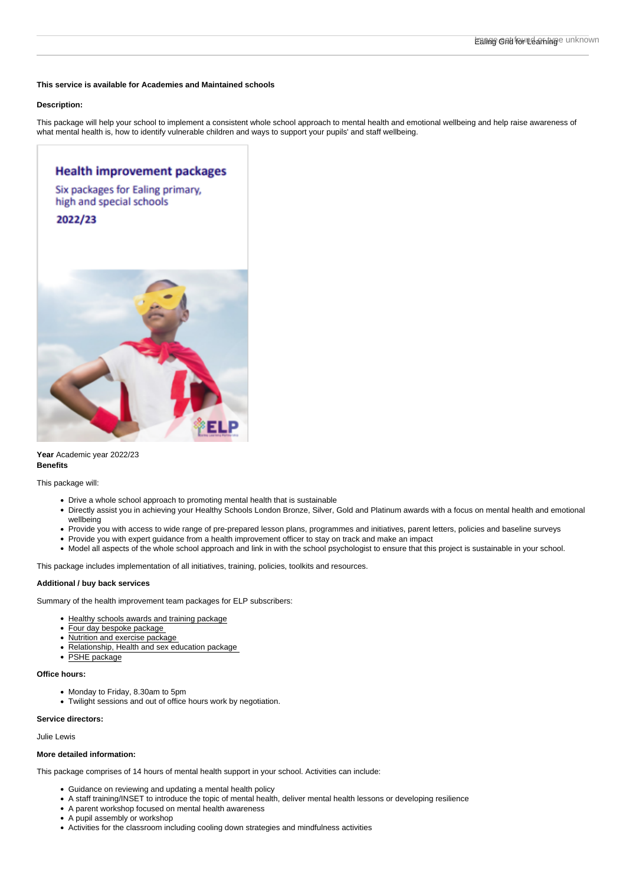This service is available for Academies and Maintained schools

## Description:

This package will help your school to implement a consistent whole school approach to mental health and emotional wellbeing and help raise awareness of what mental health is, how to identify vulnerable children and ways to support your pupils' and staff wellbeing.

Year Academic year 2022/23 Benefits

This package will:

- Drive a whole school approach to promoting mental health that is sustainable
- Directly assist you in achieving your Healthy Schools London Bronze, Silver, Gold and Platinum awards with a focus on mental health and emotional wellbeing
- Provide you with access to wide range of pre-prepared lesson plans, programmes and initiatives, parent letters, policies and baseline surveys
- Provide you with expert guidance from a health improvement officer to stay on track and make an impact
- Model all aspects of the whole school approach and link in with the school psychologist to ensure that this project is sustainable in your school.

This package includes implementation of all initiatives, training, policies, toolkits and resources.

Additional / buy back services

Summary of the health improvement team packages for ELP subscribers:

- [Healthy schools awards and training package](http://www.egfl.org.uk/health)
- [Four day bespoke package](http://www.egfl.org.uk/health)
- Nutrition and exercise package
- [Relationship, Health and sex education package](https://www.egfl.org.uk/services-to-schools/relationships-health-and-sex-education-202223)
- [PSHE package](https://www.egfl.org.uk/services-to-schools/personal-social-health-and-economic-pshe-202223)

Office hours:

- Monday to Friday, 8.30am to 5pm
- Twilight sessions and out of office hours work by negotiation.

Service directors:

## Julie Lewis

More detailed information:

This package comprises of 14 hours of mental health support in your school. Activities can include:

- Guidance on reviewing and updating a mental health policy
- A staff training/INSET to introduce the topic of mental health, deliver mental health lessons or developing resilience
- A parent workshop focused on mental health awareness
- A pupil assembly or workshop
- Activities for the classroom including cooling down strategies and mindfulness activities